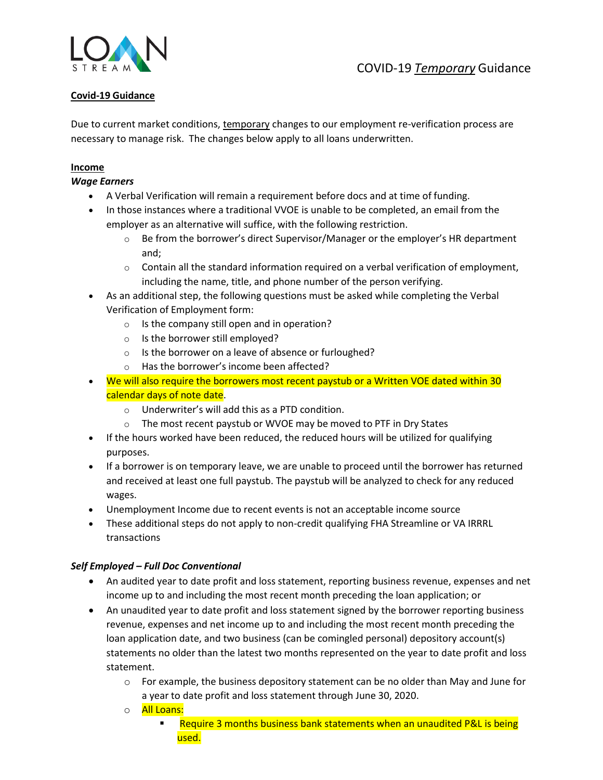

# **Covid-19 Guidance**

Due to current market conditions, temporary changes to our employment re-verification process are necessary to manage risk. The changes below apply to all loans underwritten.

#### **Income**

#### *Wage Earners*

- A Verbal Verification will remain a requirement before docs and at time of funding.
- In those instances where a traditional VVOE is unable to be completed, an email from the employer as an alternative will suffice, with the following restriction.
	- $\circ$  Be from the borrower's direct Supervisor/Manager or the employer's HR department and;
	- $\circ$  Contain all the standard information required on a verbal verification of employment, including the name, title, and phone number of the person verifying.
- As an additional step, the following questions must be asked while completing the Verbal Verification of Employment form:
	- o Is the company still open and in operation?
	- o Is the borrower still employed?
	- o Is the borrower on a leave of absence or furloughed?
	- o Has the borrower's income been affected?
- We will also require the borrowers most recent paystub or a Written VOE dated within 30 calendar days of note date.
	- o Underwriter's will add this as a PTD condition.
	- $\circ$  The most recent paystub or WVOE may be moved to PTF in Dry States
- If the hours worked have been reduced, the reduced hours will be utilized for qualifying purposes.
- If a borrower is on temporary leave, we are unable to proceed until the borrower has returned and received at least one full paystub. The paystub will be analyzed to check for any reduced wages.
- Unemployment Income due to recent events is not an acceptable income source
- These additional steps do not apply to non-credit qualifying FHA Streamline or VA IRRRL transactions

# *Self Employed – Full Doc Conventional*

- An audited year to date profit and loss statement, reporting business revenue, expenses and net income up to and including the most recent month preceding the loan application; or
- An unaudited year to date profit and loss statement signed by the borrower reporting business revenue, expenses and net income up to and including the most recent month preceding the loan application date, and two business (can be comingled personal) depository account(s) statements no older than the latest two months represented on the year to date profit and loss statement.
	- $\circ$  For example, the business depository statement can be no older than May and June for a year to date profit and loss statement through June 30, 2020.
	- o **All Loans:** 
		- Require 3 months business bank statements when an unaudited P&L is being used.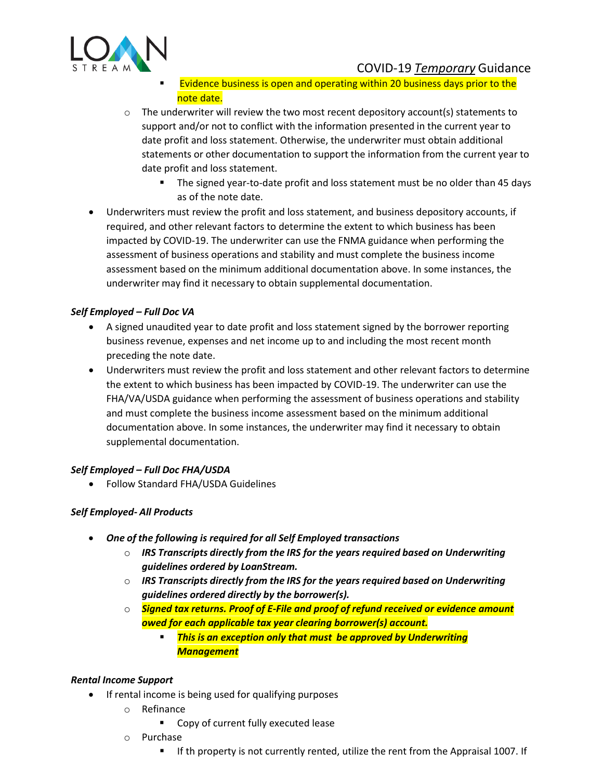

COVID-19 *Temporary* Guidance

- Evidence business is open and operating within 20 business days prior to the note date.
- $\circ$  The underwriter will review the two most recent depository account(s) statements to support and/or not to conflict with the information presented in the current year to date profit and loss statement. Otherwise, the underwriter must obtain additional statements or other documentation to support the information from the current year to date profit and loss statement.
	- **The signed year-to-date profit and loss statement must be no older than 45 days** as of the note date.
- Underwriters must review the profit and loss statement, and business depository accounts, if required, and other relevant factors to determine the extent to which business has been impacted by COVID-19. The underwriter can use the FNMA guidance when performing the assessment of business operations and stability and must complete the business income assessment based on the minimum additional documentation above. In some instances, the underwriter may find it necessary to obtain supplemental documentation.

# *Self Employed – Full Doc VA*

- A signed unaudited year to date profit and loss statement signed by the borrower reporting business revenue, expenses and net income up to and including the most recent month preceding the note date.
- Underwriters must review the profit and loss statement and other relevant factors to determine the extent to which business has been impacted by COVID-19. The underwriter can use the FHA/VA/USDA guidance when performing the assessment of business operations and stability and must complete the business income assessment based on the minimum additional documentation above. In some instances, the underwriter may find it necessary to obtain supplemental documentation.

# *Self Employed – Full Doc FHA/USDA*

• Follow Standard FHA/USDA Guidelines

# *Self Employed- All Products*

- *One of the following is required for all Self Employed transactions*
	- o *IRS Transcripts directly from the IRS for the years required based on Underwriting guidelines ordered by LoanStream.*
	- o *IRS Transcripts directly from the IRS for the years required based on Underwriting guidelines ordered directly by the borrower(s).*
	- o *Signed tax returns. Proof of E-File and proof of refund received or evidence amount owed for each applicable tax year clearing borrower(s) account.*
		- *This is an exception only that must be approved by Underwriting Management*

# *Rental Income Support*

- If rental income is being used for qualifying purposes
	- o Refinance
		- Copy of current fully executed lease
	- o Purchase
		- If th property is not currently rented, utilize the rent from the Appraisal 1007. If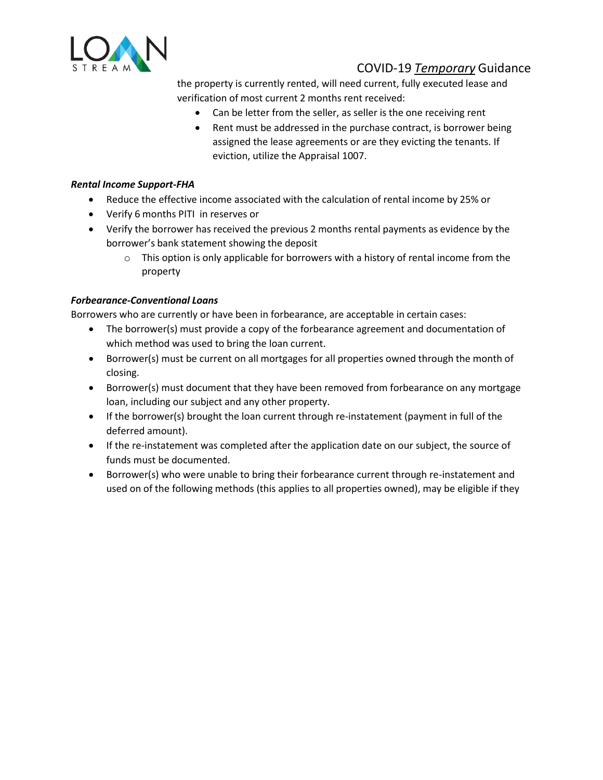

# COVID-19 *Temporary* Guidance

the property is currently rented, will need current, fully executed lease and verification of most current 2 months rent received:

- Can be letter from the seller, as seller is the one receiving rent
- Rent must be addressed in the purchase contract, is borrower being assigned the lease agreements or are they evicting the tenants. If eviction, utilize the Appraisal 1007.

#### *Rental Income Support-FHA*

- Reduce the effective income associated with the calculation of rental income by 25% or
- Verify 6 months PITI in reserves or
- Verify the borrower has received the previous 2 months rental payments as evidence by the borrower's bank statement showing the deposit
	- $\circ$  This option is only applicable for borrowers with a history of rental income from the property

#### *Forbearance-Conventional Loans*

Borrowers who are currently or have been in forbearance, are acceptable in certain cases:

- The borrower(s) must provide a copy of the forbearance agreement and documentation of which method was used to bring the loan current.
- Borrower(s) must be current on all mortgages for all properties owned through the month of closing.
- Borrower(s) must document that they have been removed from forbearance on any mortgage loan, including our subject and any other property.
- If the borrower(s) brought the loan current through re-instatement (payment in full of the deferred amount).
- If the re-instatement was completed after the application date on our subject, the source of funds must be documented.
- Borrower(s) who were unable to bring their forbearance current through re-instatement and used on of the following methods (this applies to all properties owned), may be eligible if they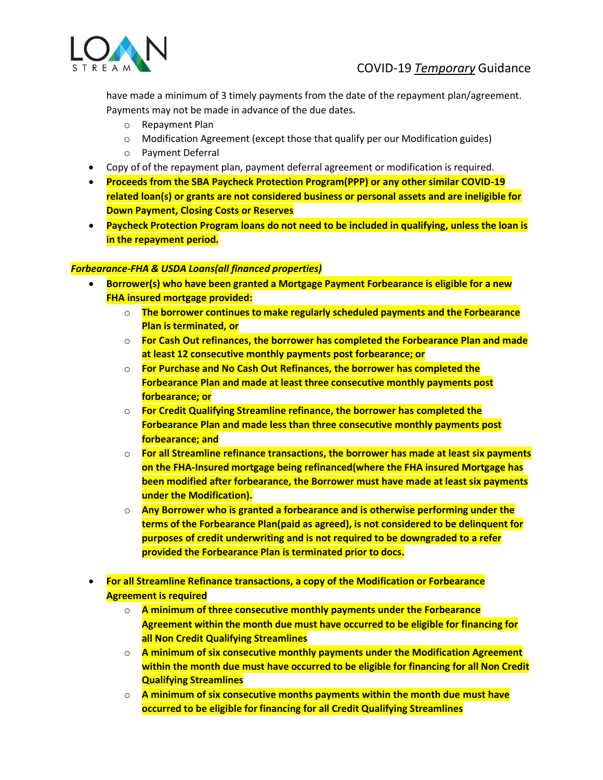

have made a minimum of 3 timely payments from the date of the repayment plan/agreement. Payments may not be made in advance of the due dates.

- o Repayment Plan
- o Modification Agreement (except those that qualify per our Modification guides)
- o Payment Deferral
- Copy of of the repayment plan, payment deferral agreement or modification is required.
- **Proceeds from the SBA Paycheck Protection Program(PPP) or any other similar COVID-19 related loan(s) or grants are not considered business or personal assets and are ineligible for Down Payment, Closing Costs or Reserves**
- **Paycheck Protection Program loans do not need to be included in qualifying, unless the loan is in the repayment period.**

#### *Forbearance-FHA & USDA Loans(all financed properties)*

- **Borrower(s) who have been granted a Mortgage Payment Forbearance is eligible for a new FHA insured mortgage provided:**
	- o **The borrower continues to make regularly scheduled payments and the Forbearance Plan is terminated, or**
	- o **For Cash Out refinances, the borrower has completed the Forbearance Plan and made at least 12 consecutive monthly payments post forbearance; or**
	- o **For Purchase and No Cash Out Refinances, the borrower has completed the Forbearance Plan and made at least three consecutive monthly payments post forbearance; or**
	- o **For Credit Qualifying Streamline refinance, the borrower has completed the Forbearance Plan and made less than three consecutive monthly payments post forbearance; and**
	- o **For all Streamline refinance transactions, the borrower has made at least six payments on the FHA-Insured mortgage being refinanced(where the FHA insured Mortgage has been modified after forbearance, the Borrower must have made at least six payments under the Modification).**
	- o **Any Borrower who is granted a forbearance and is otherwise performing under the terms of the Forbearance Plan(paid as agreed), is not considered to be delinquent for purposes of credit underwriting and is not required to be downgraded to a refer provided the Forbearance Plan is terminated prior to docs.**
- **For all Streamline Refinance transactions, a copy of the Modification or Forbearance Agreement is required**
	- o **A minimum of three consecutive monthly payments under the Forbearance Agreement within the month due must have occurred to be eligible for financing for all Non Credit Qualifying Streamlines**
	- o **A minimum of six consecutive monthly payments under the Modification Agreement within the month due must have occurred to be eligible for financing for all Non Credit Qualifying Streamlines**
	- o **A minimum of six consecutive months payments within the month due must have occurred to be eligible for financing for all Credit Qualifying Streamlines**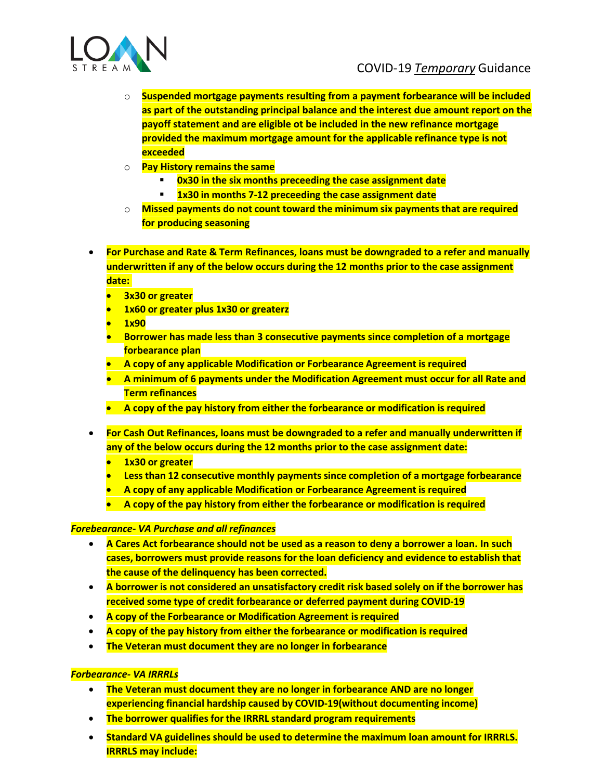

- o **Suspended mortgage payments resulting from a payment forbearance will be included as part of the outstanding principal balance and the interest due amount report on the payoff statement and are eligible ot be included in the new refinance mortgage provided the maximum mortgage amount for the applicable refinance type is not exceeded**
- o **Pay History remains the same**
	- **0x30 in the six months preceeding the case assignment date**
	- **1x30 in months 7-12 preceeding the case assignment date**
- o **Missed payments do not count toward the minimum six payments that are required for producing seasoning**
- **For Purchase and Rate & Term Refinances, loans must be downgraded to a refer and manually underwritten if any of the below occurs during the 12 months prior to the case assignment date:**
	- **3x30 or greater**
	- **1x60 or greater plus 1x30 or greaterz**
	- **1x90**
	- **Borrower has made less than 3 consecutive payments since completion of a mortgage forbearance plan**
	- **A copy of any applicable Modification or Forbearance Agreement is required**
	- **A minimum of 6 payments under the Modification Agreement must occur for all Rate and Term refinances**
	- **A copy of the pay history from either the forbearance or modification is required**
- **For Cash Out Refinances, loans must be downgraded to a refer and manually underwritten if any of the below occurs during the 12 months prior to the case assignment date:**
	- **1x30 or greater**
	- **Less than 12 consecutive monthly payments since completion of a mortgage forbearance**
	- **A copy of any applicable Modification or Forbearance Agreement is required**
	- **A copy of the pay history from either the forbearance or modification is required**

# *Forebearance- VA Purchase and all refinances*

- **A Cares Act forbearance should not be used as a reason to deny a borrower a loan. In such cases, borrowers must provide reasons for the loan deficiency and evidence to establish that the cause of the delinquency has been corrected.**
- **A borrower is not considered an unsatisfactory credit risk based solely on if the borrower has received some type of credit forbearance or deferred payment during COVID-19**
- **A copy of the Forbearance or Modification Agreement is required**
- **A copy of the pay history from either the forbearance or modification is required**
- **The Veteran must document they are no longer in forbearance**

# *Forbearance- VA IRRRLs*

- **The Veteran must document they are no longer in forbearance AND are no longer experiencing financial hardship caused by COVID-19(without documenting income)**
- **The borrower qualifies for the IRRRL standard program requirements**
- **Standard VA guidelines should be used to determine the maximum loan amount for IRRRLS. IRRRLS may include:**